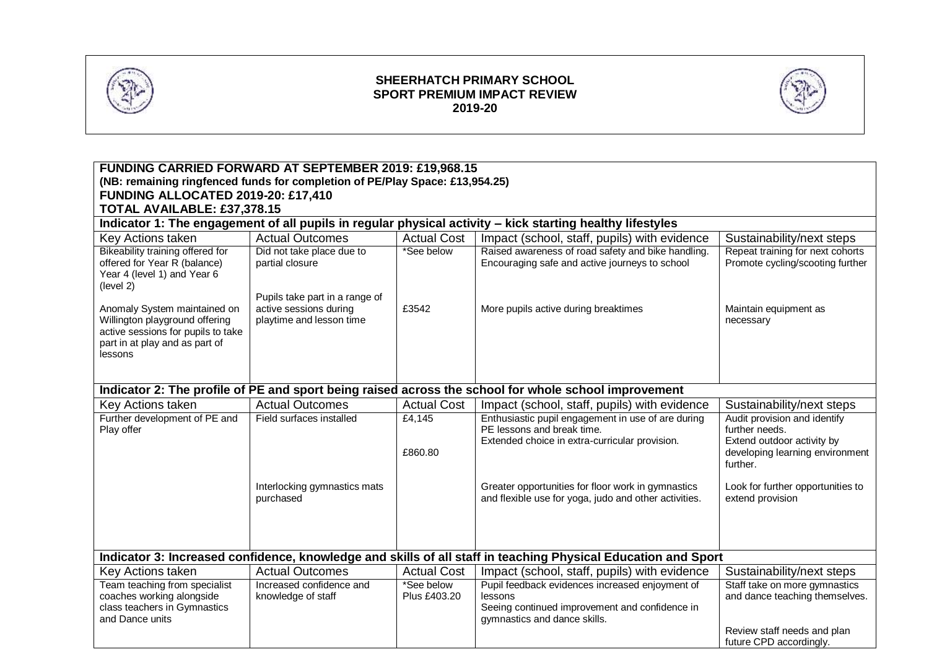

### **SHEERHATCH PRIMARY SCHOOL SPORT PREMIUM IMPACT REVIEW 2019-20**



| <b>FUNDING CARRIED FORWARD AT SEPTEMBER 2019: £19,968.15</b>                                                  |                                              |                    |                                                                                                      |                                                                      |  |  |  |  |
|---------------------------------------------------------------------------------------------------------------|----------------------------------------------|--------------------|------------------------------------------------------------------------------------------------------|----------------------------------------------------------------------|--|--|--|--|
| (NB: remaining ringfenced funds for completion of PE/Play Space: £13,954.25)                                  |                                              |                    |                                                                                                      |                                                                      |  |  |  |  |
| <b>FUNDING ALLOCATED 2019-20: £17,410</b>                                                                     |                                              |                    |                                                                                                      |                                                                      |  |  |  |  |
| TOTAL AVAILABLE: £37,378.15                                                                                   |                                              |                    |                                                                                                      |                                                                      |  |  |  |  |
| Indicator 1: The engagement of all pupils in regular physical activity - kick starting healthy lifestyles     |                                              |                    |                                                                                                      |                                                                      |  |  |  |  |
| Key Actions taken                                                                                             | <b>Actual Outcomes</b>                       | <b>Actual Cost</b> | Impact (school, staff, pupils) with evidence                                                         | Sustainability/next steps                                            |  |  |  |  |
| Bikeability training offered for                                                                              | Did not take place due to<br>partial closure | *See below         | Raised awareness of road safety and bike handling.                                                   | Repeat training for next cohorts<br>Promote cycling/scooting further |  |  |  |  |
| offered for Year R (balance)<br>Year 4 (level 1) and Year 6                                                   |                                              |                    | Encouraging safe and active journeys to school                                                       |                                                                      |  |  |  |  |
| (level 2)                                                                                                     |                                              |                    |                                                                                                      |                                                                      |  |  |  |  |
|                                                                                                               | Pupils take part in a range of               |                    |                                                                                                      |                                                                      |  |  |  |  |
| Anomaly System maintained on                                                                                  | active sessions during                       | £3542              | More pupils active during breaktimes                                                                 | Maintain equipment as                                                |  |  |  |  |
| Willington playground offering<br>active sessions for pupils to take                                          | playtime and lesson time                     |                    |                                                                                                      | necessary                                                            |  |  |  |  |
| part in at play and as part of                                                                                |                                              |                    |                                                                                                      |                                                                      |  |  |  |  |
| lessons                                                                                                       |                                              |                    |                                                                                                      |                                                                      |  |  |  |  |
|                                                                                                               |                                              |                    |                                                                                                      |                                                                      |  |  |  |  |
|                                                                                                               |                                              |                    |                                                                                                      |                                                                      |  |  |  |  |
|                                                                                                               |                                              |                    | Indicator 2: The profile of PE and sport being raised across the school for whole school improvement |                                                                      |  |  |  |  |
| Key Actions taken                                                                                             | <b>Actual Outcomes</b>                       | <b>Actual Cost</b> | Impact (school, staff, pupils) with evidence                                                         | Sustainability/next steps                                            |  |  |  |  |
| Further development of PE and                                                                                 | Field surfaces installed                     | £4,145             | Enthusiastic pupil engagement in use of are during                                                   | Audit provision and identify                                         |  |  |  |  |
| Play offer                                                                                                    |                                              |                    | PE lessons and break time.<br>Extended choice in extra-curricular provision.                         | further needs.<br>Extend outdoor activity by                         |  |  |  |  |
|                                                                                                               |                                              | £860.80            |                                                                                                      | developing learning environment                                      |  |  |  |  |
|                                                                                                               |                                              |                    |                                                                                                      | further.                                                             |  |  |  |  |
|                                                                                                               |                                              |                    |                                                                                                      |                                                                      |  |  |  |  |
|                                                                                                               | Interlocking gymnastics mats                 |                    | Greater opportunities for floor work in gymnastics                                                   | Look for further opportunities to                                    |  |  |  |  |
|                                                                                                               | purchased                                    |                    | and flexible use for yoga, judo and other activities.                                                | extend provision                                                     |  |  |  |  |
|                                                                                                               |                                              |                    |                                                                                                      |                                                                      |  |  |  |  |
|                                                                                                               |                                              |                    |                                                                                                      |                                                                      |  |  |  |  |
|                                                                                                               |                                              |                    |                                                                                                      |                                                                      |  |  |  |  |
| Indicator 3: Increased confidence, knowledge and skills of all staff in teaching Physical Education and Sport |                                              |                    |                                                                                                      |                                                                      |  |  |  |  |
| Key Actions taken                                                                                             | <b>Actual Outcomes</b>                       | <b>Actual Cost</b> | Impact (school, staff, pupils) with evidence                                                         | Sustainability/next steps                                            |  |  |  |  |
| Team teaching from specialist                                                                                 | Increased confidence and                     | *See below         | Pupil feedback evidences increased enjoyment of                                                      | Staff take on more gymnastics                                        |  |  |  |  |
| coaches working alongside<br>class teachers in Gymnastics                                                     | knowledge of staff                           | Plus £403.20       | lessons<br>Seeing continued improvement and confidence in                                            | and dance teaching themselves.                                       |  |  |  |  |
| and Dance units                                                                                               |                                              |                    | gymnastics and dance skills.                                                                         |                                                                      |  |  |  |  |
|                                                                                                               |                                              |                    |                                                                                                      | Review staff needs and plan                                          |  |  |  |  |
|                                                                                                               |                                              |                    |                                                                                                      | future CPD accordingly.                                              |  |  |  |  |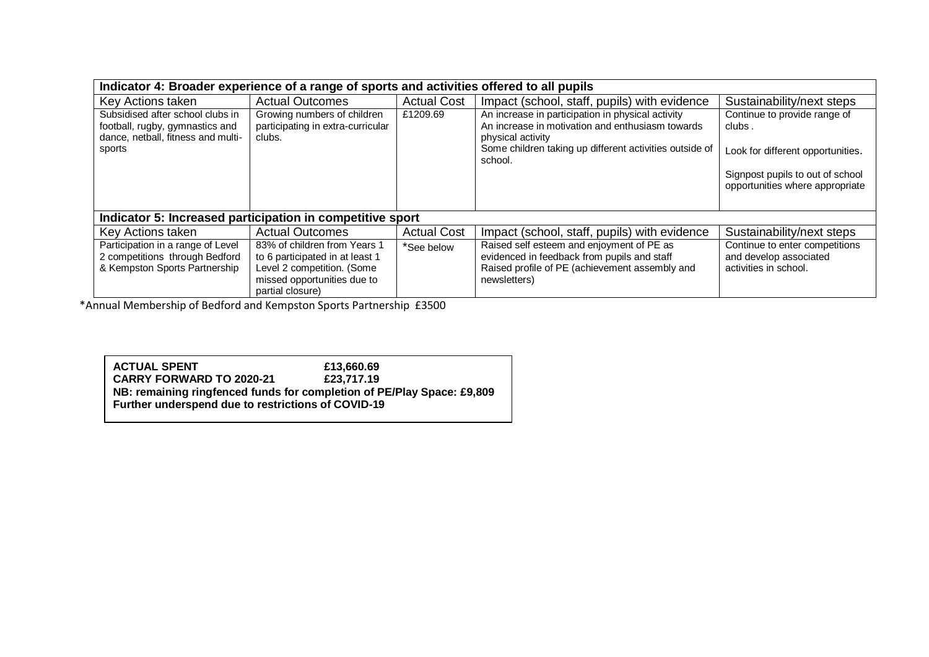| Indicator 4: Broader experience of a range of sports and activities offered to all pupils                 |                                                                                                                                                  |                    |                                                                                                                                                            |                                                                                   |  |  |
|-----------------------------------------------------------------------------------------------------------|--------------------------------------------------------------------------------------------------------------------------------------------------|--------------------|------------------------------------------------------------------------------------------------------------------------------------------------------------|-----------------------------------------------------------------------------------|--|--|
| Key Actions taken                                                                                         | <b>Actual Outcomes</b>                                                                                                                           | <b>Actual Cost</b> | Impact (school, staff, pupils) with evidence                                                                                                               | Sustainability/next steps                                                         |  |  |
| Subsidised after school clubs in<br>football, rugby, gymnastics and<br>dance, netball, fitness and multi- | Growing numbers of children<br>participating in extra-curricular<br>clubs.                                                                       | £1209.69           | An increase in participation in physical activity<br>An increase in motivation and enthusiasm towards<br>physical activity                                 | Continue to provide range of<br>clubs.                                            |  |  |
| sports                                                                                                    |                                                                                                                                                  |                    | Some children taking up different activities outside of<br>school.                                                                                         | Look for different opportunities.                                                 |  |  |
|                                                                                                           |                                                                                                                                                  |                    |                                                                                                                                                            | Signpost pupils to out of school<br>opportunities where appropriate               |  |  |
| Indicator 5: Increased participation in competitive sport                                                 |                                                                                                                                                  |                    |                                                                                                                                                            |                                                                                   |  |  |
| Key Actions taken                                                                                         | <b>Actual Outcomes</b>                                                                                                                           | <b>Actual Cost</b> | Impact (school, staff, pupils) with evidence                                                                                                               | Sustainability/next steps                                                         |  |  |
| Participation in a range of Level<br>2 competitions through Bedford<br>& Kempston Sports Partnership      | 83% of children from Years 1<br>to 6 participated in at least 1<br>Level 2 competition. (Some<br>missed opportunities due to<br>partial closure) | *See below         | Raised self esteem and enjoyment of PE as<br>evidenced in feedback from pupils and staff<br>Raised profile of PE (achievement assembly and<br>newsletters) | Continue to enter competitions<br>and develop associated<br>activities in school. |  |  |

\*Annual Membership of Bedford and Kempston Sports Partnership £3500

**ACTUAL SPENT E13,660.69**<br>**CARRY FORWARD TO 2020-21 E23,717.19 CARRY FORWARD TO 2020-21 NB: remaining ringfenced funds for completion of PE/Play Space: £9,809 Further underspend due to restrictions of COVID-19**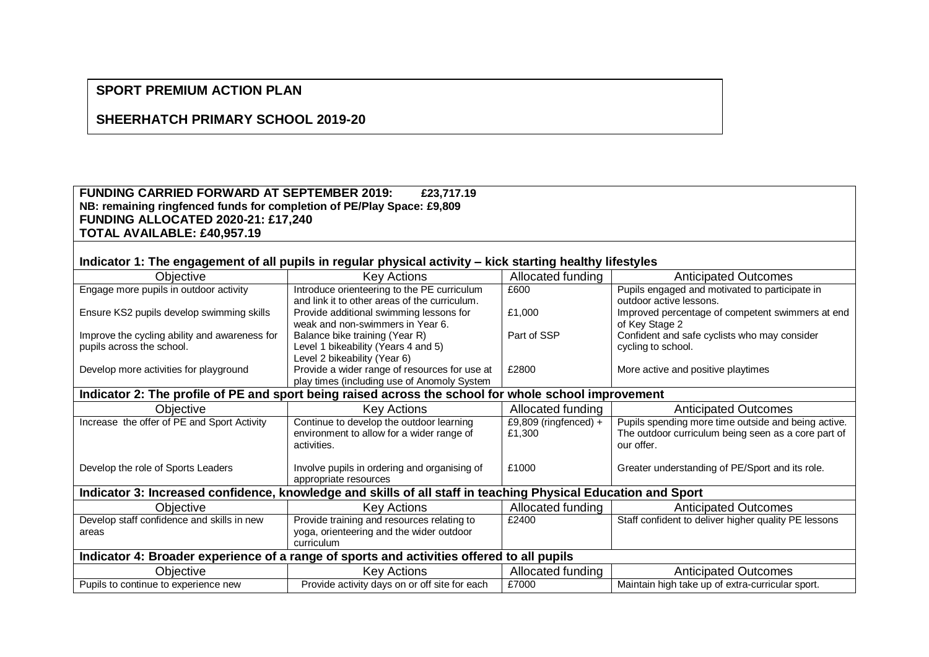# **SPORT PREMIUM ACTION PLAN**

## **SHEERHATCH PRIMARY SCHOOL 2019-20**

#### **FUNDING CARRIED FORWARD AT SEPTEMBER 2019: £23,717.19 NB: remaining ringfenced funds for completion of PE/Play Space: £9,809 FUNDING ALLOCATED 2020-21: £17,240 TOTAL AVAILABLE: £40,957.19**

### **Indicator 1: The engagement of all pupils in regular physical activity – kick starting healthy lifestyles**

| $\sim$                                                                                                        |                                               |                       |                                                      |  |  |  |
|---------------------------------------------------------------------------------------------------------------|-----------------------------------------------|-----------------------|------------------------------------------------------|--|--|--|
| Objective                                                                                                     | <b>Key Actions</b>                            | Allocated funding     | <b>Anticipated Outcomes</b>                          |  |  |  |
| Engage more pupils in outdoor activity                                                                        | Introduce orienteering to the PE curriculum   | £600                  | Pupils engaged and motivated to participate in       |  |  |  |
|                                                                                                               | and link it to other areas of the curriculum. |                       | outdoor active lessons.                              |  |  |  |
| Ensure KS2 pupils develop swimming skills                                                                     | Provide additional swimming lessons for       | £1,000                | Improved percentage of competent swimmers at end     |  |  |  |
|                                                                                                               | weak and non-swimmers in Year 6.              |                       | of Key Stage 2                                       |  |  |  |
| Improve the cycling ability and awareness for                                                                 | Balance bike training (Year R)                | Part of SSP           | Confident and safe cyclists who may consider         |  |  |  |
| pupils across the school.                                                                                     | Level 1 bikeability (Years 4 and 5)           |                       | cycling to school.                                   |  |  |  |
|                                                                                                               | Level 2 bikeability (Year 6)                  |                       |                                                      |  |  |  |
| Develop more activities for playground                                                                        | Provide a wider range of resources for use at | £2800                 | More active and positive playtimes                   |  |  |  |
|                                                                                                               | play times (including use of Anomoly System   |                       |                                                      |  |  |  |
| Indicator 2: The profile of PE and sport being raised across the school for whole school improvement          |                                               |                       |                                                      |  |  |  |
| Objective                                                                                                     | <b>Key Actions</b>                            | Allocated funding     | <b>Anticipated Outcomes</b>                          |  |  |  |
| Increase the offer of PE and Sport Activity                                                                   | Continue to develop the outdoor learning      | £9,809 (ringfenced) + | Pupils spending more time outside and being active.  |  |  |  |
|                                                                                                               | environment to allow for a wider range of     | £1,300                | The outdoor curriculum being seen as a core part of  |  |  |  |
|                                                                                                               | activities.                                   |                       | our offer.                                           |  |  |  |
|                                                                                                               |                                               |                       |                                                      |  |  |  |
| Develop the role of Sports Leaders                                                                            | Involve pupils in ordering and organising of  | £1000                 | Greater understanding of PE/Sport and its role.      |  |  |  |
|                                                                                                               | appropriate resources                         |                       |                                                      |  |  |  |
| Indicator 3: Increased confidence, knowledge and skills of all staff in teaching Physical Education and Sport |                                               |                       |                                                      |  |  |  |
| Objective                                                                                                     | Key Actions                                   | Allocated funding     | <b>Anticipated Outcomes</b>                          |  |  |  |
| Develop staff confidence and skills in new                                                                    | Provide training and resources relating to    | £2400                 | Staff confident to deliver higher quality PE lessons |  |  |  |
| areas                                                                                                         | yoga, orienteering and the wider outdoor      |                       |                                                      |  |  |  |
|                                                                                                               | curriculum                                    |                       |                                                      |  |  |  |
| Indicator 4: Broader experience of a range of sports and activities offered to all pupils                     |                                               |                       |                                                      |  |  |  |
| Objective                                                                                                     | <b>Key Actions</b>                            | Allocated funding     | <b>Anticipated Outcomes</b>                          |  |  |  |
| Pupils to continue to experience new                                                                          | Provide activity days on or off site for each | £7000                 | Maintain high take up of extra-curricular sport.     |  |  |  |